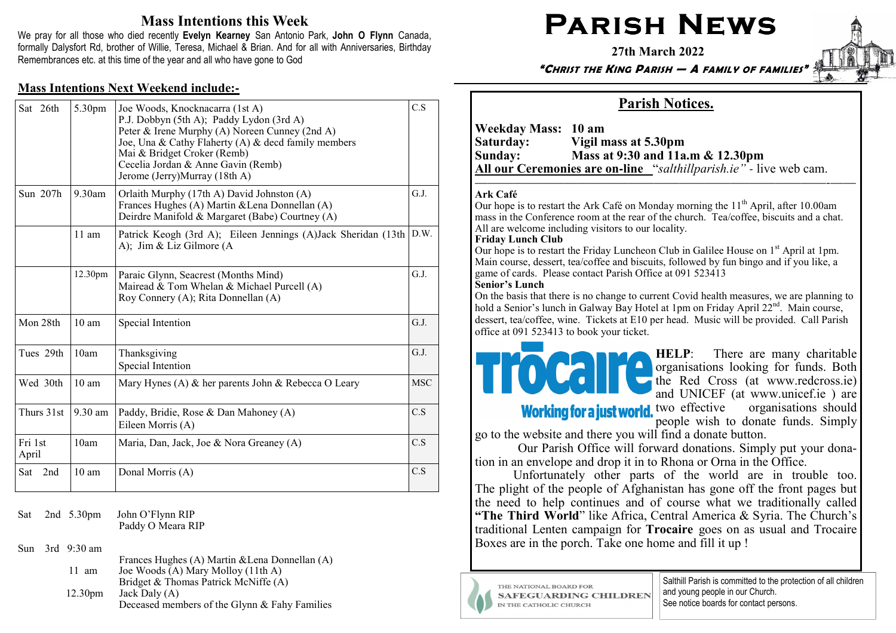# Mass Intentions this Week

We pray for all those who died recently Evelyn Kearney San Antonio Park, John O Flynn Canada, formally Dalysfort Rd, brother of Willie, Teresa, Michael & Brian. And for all with Anniversaries, Birthday Remembrances etc. at this time of the year and all who have gone to God

### Mass Intentions Next Weekend include:**-**

| Sat 26th         | 5.30pm              | Joe Woods, Knocknacarra (1st A)<br>P.J. Dobbyn (5th A); Paddy Lydon (3rd A)<br>Peter & Irene Murphy (A) Noreen Cunney (2nd A)<br>Joe, Una & Cathy Flaherty (A) & decd family members<br>Mai & Bridget Croker (Remb)<br>Cecelia Jordan & Anne Gavin (Remb)<br>Jerome (Jerry)Murray (18th A) | C.S        |
|------------------|---------------------|--------------------------------------------------------------------------------------------------------------------------------------------------------------------------------------------------------------------------------------------------------------------------------------------|------------|
| Sun 207h         | $9.30$ am           | Orlaith Murphy (17th A) David Johnston (A)<br>Frances Hughes (A) Martin & Lena Donnellan (A)<br>Deirdre Manifold & Margaret (Babe) Courtney (A)                                                                                                                                            | G.J.       |
|                  | $11 \text{ am}$     | Patrick Keogh (3rd A); Eileen Jennings (A)Jack Sheridan (13th<br>A); Jim & Liz Gilmore (A                                                                                                                                                                                                  | D.W.       |
|                  | 12.30 <sub>pm</sub> | Paraic Glynn, Seacrest (Months Mind)<br>Mairead & Tom Whelan & Michael Purcell (A)<br>Roy Connery (A); Rita Donnellan (A)                                                                                                                                                                  | G.J.       |
| Mon 28th         | 10 <sub>am</sub>    | Special Intention                                                                                                                                                                                                                                                                          | G.J.       |
| Tues 29th        | 10am                | Thanksgiving<br>Special Intention                                                                                                                                                                                                                                                          | G.J.       |
| Wed 30th         | $10 \text{ am}$     | Mary Hynes (A) & her parents John & Rebecca O Leary                                                                                                                                                                                                                                        | <b>MSC</b> |
| Thurs 31st       | $9.30$ am           | Paddy, Bridie, Rose & Dan Mahoney (A)<br>Eileen Morris (A)                                                                                                                                                                                                                                 | C.S        |
| Fri 1st<br>April | 10am                | Maria, Dan, Jack, Joe & Nora Greaney (A)                                                                                                                                                                                                                                                   | C.S        |
| 2nd<br>Sat       | 10 <sub>am</sub>    | Donal Morris (A)                                                                                                                                                                                                                                                                           | C.S        |

Sat 2nd 5.30pm John O'Flynn RIP Paddy O Meara RIP

Sun 3rd 9:30 am

 Frances Hughes (A) Martin &Lena Donnellan (A) 11 am Joe Woods (A) Mary Molloy (11th A) Bridget & Thomas Patrick McNiffe (A)12.30pm Jack Daly  $(A)$ Deceased members of the Glynn & Fahy Families

# PARISH NEWS

27th March 2022

"CHRIST THE KING PARISH — A FAMILY OF FAMILIES"



# Parish Notices.

Weekday Mass: 10 am<br>Saturday: Vigil n Saturday: Vigil mass at 5.30pm Sunday: Mass at 9:30 and 11a.m & 12.30pm All our Ceremonies are on**-**line "salthillparish.ie" *-* live web cam.

#### Ark Café

Our hope is to restart the Ark Café on Monday morning the  $11<sup>th</sup>$  April, after 10.00am mass in the Conference room at the rear of the church. Tea/coffee, biscuits and a chat. All are welcome including visitors to our locality.

—————————————————————–——————-——

#### Friday Lunch Club

Our hope is to restart the Friday Luncheon Club in Galilee House on 1<sup>st</sup> April at 1pm. Main course, dessert, tea/coffee and biscuits, followed by fun bingo and if you like, a game of cards. Please contact Parish Office at 091 523413

#### Senior's Lunch

 On the basis that there is no change to current Covid health measures, we are planning to hold a Senior's lunch in Galway Bay Hotel at 1pm on Friday April 22<sup>nd</sup>. Main course, dessert, tea/coffee, wine. Tickets at E10 per head. Music will be provided. Call Parish office at 091 523413 to book your ticket.



HELP: There are many charitable organisations looking for funds. Both the Red Cross (at www.redcross.ie) and UNICEF (at www.unicef.ie) are<br>Working for a just world, two effective organisations should

 two effective organisations should people wish to donate funds. Simply

go to the website and there you will find a donate button.

 Our Parish Office will forward donations. Simply put your donation in an envelope and drop it in to Rhona or Orna in the Office.

 Unfortunately other parts of the world are in trouble too. The plight of the people of Afghanistan has gone off the front pages but the need to help continues and of course what we traditionally called "The Third World" like Africa, Central America & Syria. The Church's traditional Lenten campaign for Trocaire goes on as usual and Trocaire Boxes are in the porch. Take one home and fill it up !



THE NATIONAL BOARD FOR **SAFEGUARDING CHILDREN** IN THE CATHOLIC CHURCH

Salthill Parish is committed to the protection of all children and young people in our Church. See notice boards for contact persons.